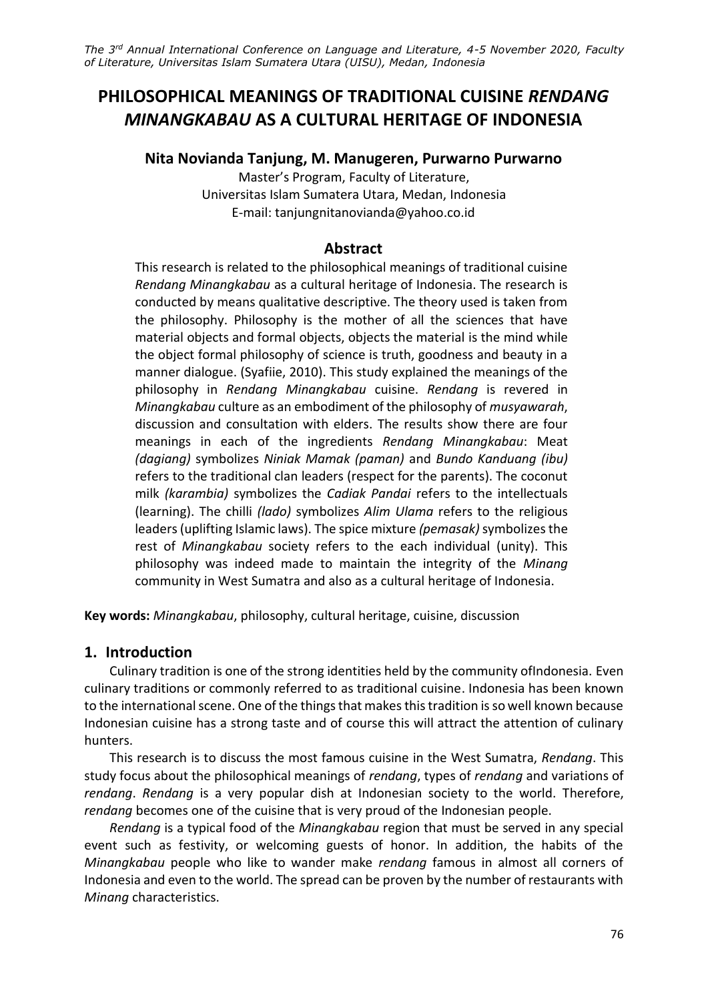# **PHILOSOPHICAL MEANINGS OF TRADITIONAL CUISINE** *RENDANG MINANGKABAU* **AS A CULTURAL HERITAGE OF INDONESIA**

# **Nita Novianda Tanjung, M. Manugeren, Purwarno Purwarno**

Master's Program, Faculty of Literature, Universitas Islam Sumatera Utara, Medan, Indonesia E-mail: tanjungnitanovianda@yahoo.co.id

# **Abstract**

This research is related to the philosophical meanings of traditional cuisine *Rendang Minangkabau* as a cultural heritage of Indonesia. The research is conducted by means qualitative descriptive. The theory used is taken from the philosophy. Philosophy is the mother of all the sciences that have material objects and formal objects, objects the material is the mind while the object formal philosophy of science is truth, goodness and beauty in a manner dialogue. (Syafiie, 2010). This study explained the meanings of the philosophy in *Rendang Minangkabau* cuisine. *Rendang* is revered in *Minangkabau* culture as an embodiment of the philosophy of *musyawarah*, discussion and consultation with elders. The results show there are four meanings in each of the ingredients *Rendang Minangkabau*: Meat *(dagiang)* symbolizes *Niniak Mamak (paman)* and *Bundo Kanduang (ibu)* refers to the traditional clan leaders (respect for the parents). The coconut milk *(karambia)* symbolizes the *Cadiak Pandai* refers to the intellectuals (learning). The chilli *(lado)* symbolizes *Alim Ulama* refers to the religious leaders (uplifting Islamic laws). The spice mixture *(pemasak)* symbolizes the rest of *Minangkabau* society refers to the each individual (unity). This philosophy was indeed made to maintain the integrity of the *Minang* community in West Sumatra and also as a cultural heritage of Indonesia.

**Key words:** *Minangkabau*, philosophy, cultural heritage, cuisine, discussion

# **1. Introduction**

Culinary tradition is one of the strong identities held by the community ofIndonesia. Even culinary traditions or commonly referred to as traditional cuisine. Indonesia has been known to the international scene. One of the things that makes this tradition is so well known because Indonesian cuisine has a strong taste and of course this will attract the attention of culinary hunters.

This research is to discuss the most famous cuisine in the West Sumatra, *Rendang*. This study focus about the philosophical meanings of *rendang*, types of *rendang* and variations of *rendang*. *Rendang* is a very popular dish at Indonesian society to the world. Therefore, *rendang* becomes one of the cuisine that is very proud of the Indonesian people.

*Rendang* is a typical food of the *Minangkabau* region that must be served in any special event such as festivity, or welcoming guests of honor. In addition, the habits of the *Minangkabau* people who like to wander make *rendang* famous in almost all corners of Indonesia and even to the world. The spread can be proven by the number of restaurants with *Minang* characteristics.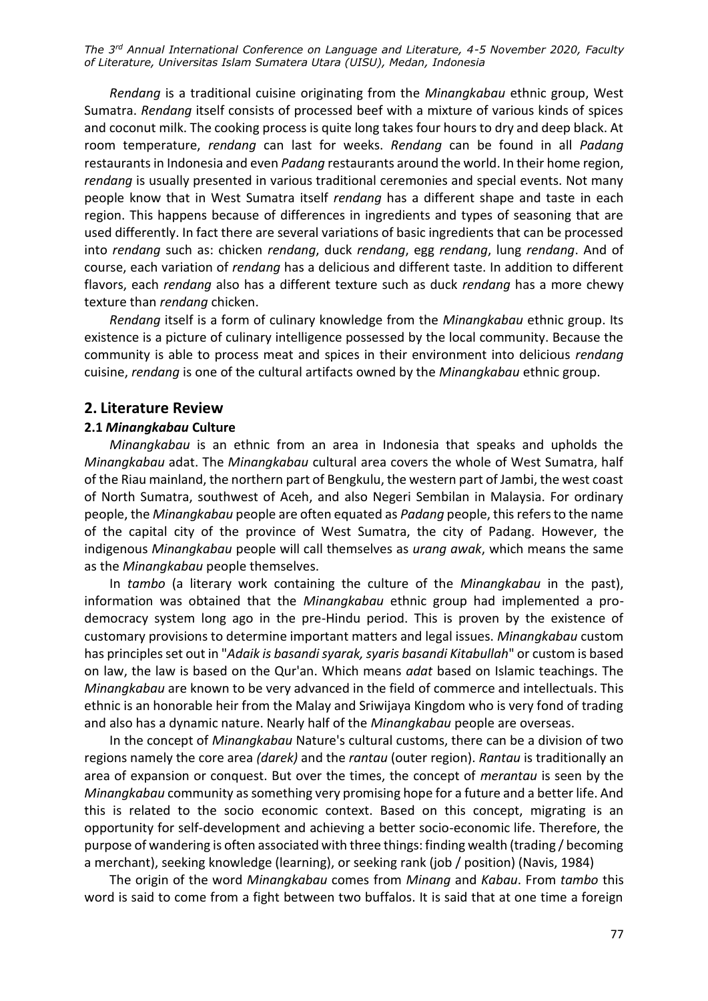*Rendang* is a traditional cuisine originating from the *Minangkabau* ethnic group, West Sumatra. *Rendang* itself consists of processed beef with a mixture of various kinds of spices and coconut milk. The cooking process is quite long takes four hours to dry and deep black. At room temperature, *rendang* can last for weeks. *Rendang* can be found in all *Padang* restaurants in Indonesia and even *Padang* restaurants around the world. In their home region, *rendang* is usually presented in various traditional ceremonies and special events. Not many people know that in West Sumatra itself *rendang* has a different shape and taste in each region. This happens because of differences in ingredients and types of seasoning that are used differently. In fact there are several variations of basic ingredients that can be processed into *rendang* such as: chicken *rendang*, duck *rendang*, egg *rendang*, lung *rendang*. And of course, each variation of *rendang* has a delicious and different taste. In addition to different flavors, each *rendang* also has a different texture such as duck *rendang* has a more chewy texture than *rendang* chicken.

*Rendang* itself is a form of culinary knowledge from the *Minangkabau* ethnic group. Its existence is a picture of culinary intelligence possessed by the local community. Because the community is able to process meat and spices in their environment into delicious *rendang* cuisine, *rendang* is one of the cultural artifacts owned by the *Minangkabau* ethnic group.

#### **2. Literature Review**

#### **2.1** *Minangkabau* **Culture**

*Minangkabau* is an ethnic from an area in Indonesia that speaks and upholds the *Minangkabau* adat. The *Minangkabau* cultural area covers the whole of West Sumatra, half of the Riau mainland, the northern part of Bengkulu, the western part of Jambi, the west coast of North Sumatra, southwest of Aceh, and also Negeri Sembilan in Malaysia. For ordinary people, the *Minangkabau* people are often equated as *Padang* people, this refers to the name of the capital city of the province of West Sumatra, the city of Padang. However, the indigenous *Minangkabau* people will call themselves as *urang awak*, which means the same as the *Minangkabau* people themselves.

In *tambo* (a literary work containing the culture of the *Minangkabau* in the past), information was obtained that the *Minangkabau* ethnic group had implemented a prodemocracy system long ago in the pre-Hindu period. This is proven by the existence of customary provisions to determine important matters and legal issues. *Minangkabau* custom has principles set out in "*Adaik is basandi syarak, syaris basandi Kitabullah*" or custom is based on law, the law is based on the Qur'an. Which means *adat* based on Islamic teachings. The *Minangkabau* are known to be very advanced in the field of commerce and intellectuals. This ethnic is an honorable heir from the Malay and Sriwijaya Kingdom who is very fond of trading and also has a dynamic nature. Nearly half of the *Minangkabau* people are overseas.

In the concept of *Minangkabau* Nature's cultural customs, there can be a division of two regions namely the core area *(darek)* and the *rantau* (outer region). *Rantau* is traditionally an area of expansion or conquest. But over the times, the concept of *merantau* is seen by the *Minangkabau* community as something very promising hope for a future and a better life. And this is related to the socio economic context. Based on this concept, migrating is an opportunity for self-development and achieving a better socio-economic life. Therefore, the purpose of wandering is often associated with three things: finding wealth (trading / becoming a merchant), seeking knowledge (learning), or seeking rank (job / position) (Navis, 1984)

The origin of the word *Minangkabau* comes from *Minang* and *Kabau*. From *tambo* this word is said to come from a fight between two buffalos. It is said that at one time a foreign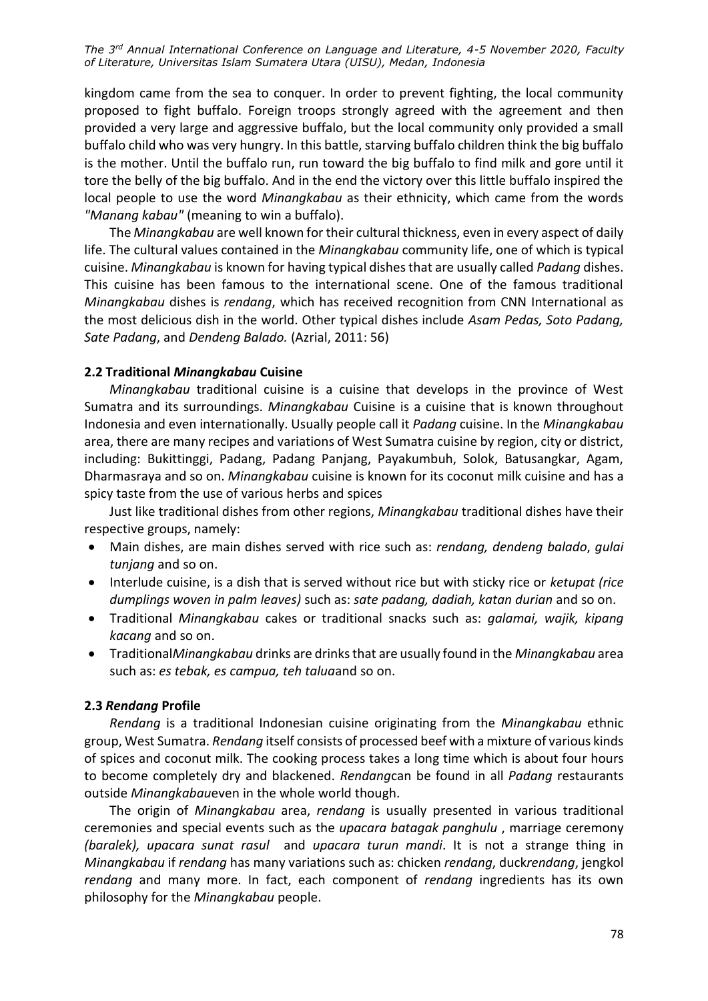kingdom came from the sea to conquer. In order to prevent fighting, the local community proposed to fight buffalo. Foreign troops strongly agreed with the agreement and then provided a very large and aggressive buffalo, but the local community only provided a small buffalo child who was very hungry. In this battle, starving buffalo children think the big buffalo is the mother. Until the buffalo run, run toward the big buffalo to find milk and gore until it tore the belly of the big buffalo. And in the end the victory over this little buffalo inspired the local people to use the word *Minangkabau* as their ethnicity, which came from the words *"Manang kabau"* (meaning to win a buffalo).

The *Minangkabau* are well known for their cultural thickness, even in every aspect of daily life. The cultural values contained in the *Minangkabau* community life, one of which is typical cuisine. *Minangkabau* is known for having typical dishes that are usually called *Padang* dishes. This cuisine has been famous to the international scene. One of the famous traditional *Minangkabau* dishes is *rendang*, which has received recognition from CNN International as the most delicious dish in the world. Other typical dishes include *Asam Pedas, Soto Padang, Sate Padang*, and *Dendeng Balado.* (Azrial, 2011: 56)

### **2.2 Traditional** *Minangkabau* **Cuisine**

*Minangkabau* traditional cuisine is a cuisine that develops in the province of West Sumatra and its surroundings. *Minangkabau* Cuisine is a cuisine that is known throughout Indonesia and even internationally. Usually people call it *Padang* cuisine. In the *Minangkabau* area, there are many recipes and variations of West Sumatra cuisine by region, city or district, including: Bukittinggi, Padang, Padang Panjang, Payakumbuh, Solok, Batusangkar, Agam, Dharmasraya and so on. *Minangkabau* cuisine is known for its coconut milk cuisine and has a spicy taste from the use of various herbs and spices

Just like traditional dishes from other regions, *Minangkabau* traditional dishes have their respective groups, namely:

- Main dishes, are main dishes served with rice such as: *rendang, dendeng balado*, *gulai tunjang* and so on.
- Interlude cuisine, is a dish that is served without rice but with sticky rice or *ketupat (rice dumplings woven in palm leaves)* such as: *sate padang, dadiah, katan durian* and so on.
- Traditional *Minangkabau* cakes or traditional snacks such as: *galamai, wajik, kipang kacang* and so on.
- Traditional*Minangkabau* drinks are drinks that are usually found in the *Minangkabau* area such as: *es tebak, es campua, teh talua*and so on.

#### **2.3** *Rendang* **Profile**

*Rendang* is a traditional Indonesian cuisine originating from the *Minangkabau* ethnic group, West Sumatra. *Rendang* itself consists of processed beef with a mixture of various kinds of spices and coconut milk. The cooking process takes a long time which is about four hours to become completely dry and blackened. *Rendang*can be found in all *Padang* restaurants outside *Minangkabau*even in the whole world though.

The origin of *Minangkabau* area, *rendang* is usually presented in various traditional ceremonies and special events such as the *upacara batagak panghulu* , marriage ceremony *(baralek), upacara sunat rasul* and *upacara turun mandi*. It is not a strange thing in *Minangkabau* if *rendang* has many variations such as: chicken *rendang*, duck*rendang*, jengkol *rendang* and many more. In fact, each component of *rendang* ingredients has its own philosophy for the *Minangkabau* people.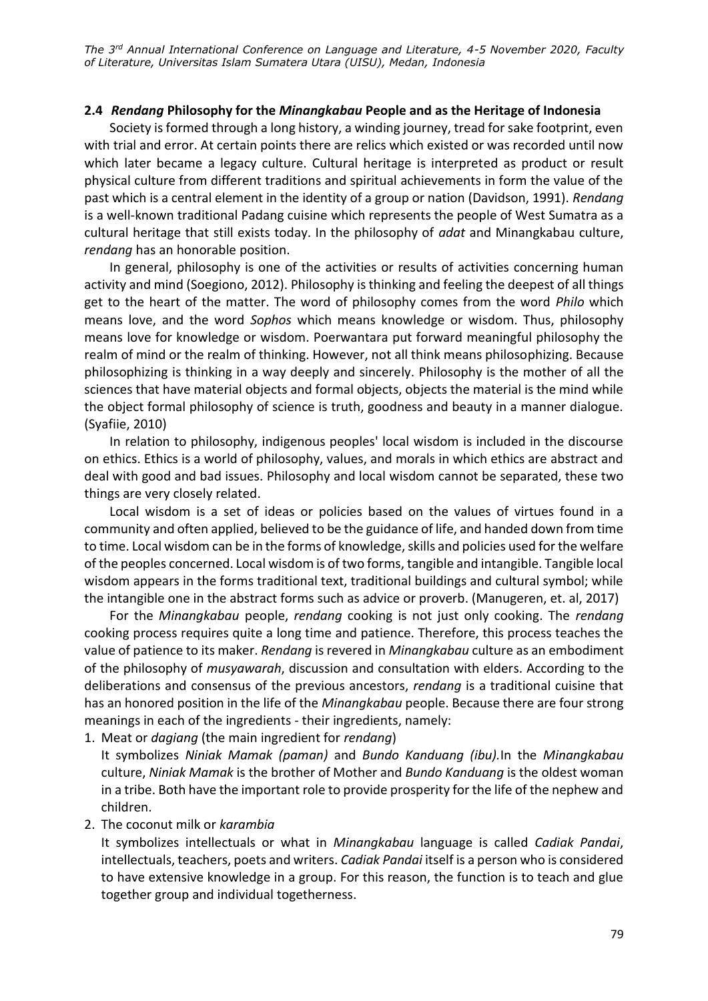### **2.4** *Rendang* **Philosophy for the** *Minangkabau* **People and as the Heritage of Indonesia**

Society is formed through a long history, a winding journey, tread for sake footprint, even with trial and error. At certain points there are relics which existed or was recorded until now which later became a legacy culture. Cultural heritage is interpreted as product or result physical culture from different traditions and spiritual achievements in form the value of the past which is a central element in the identity of a group or nation (Davidson, 1991). *Rendang* is a well-known traditional Padang cuisine which represents the people of West Sumatra as a cultural heritage that still exists today. In the philosophy of *adat* and Minangkabau culture, *rendang* has an honorable position.

In general, philosophy is one of the activities or results of activities concerning human activity and mind (Soegiono, 2012). Philosophy is thinking and feeling the deepest of all things get to the heart of the matter. The word of philosophy comes from the word *Philo* which means love, and the word *Sophos* which means knowledge or wisdom. Thus, philosophy means love for knowledge or wisdom. Poerwantara put forward meaningful philosophy the realm of mind or the realm of thinking. However, not all think means philosophizing. Because philosophizing is thinking in a way deeply and sincerely. Philosophy is the mother of all the sciences that have material objects and formal objects, objects the material is the mind while the object formal philosophy of science is truth, goodness and beauty in a manner dialogue. (Syafiie, 2010)

In relation to philosophy, indigenous peoples' local wisdom is included in the discourse on ethics. Ethics is a world of philosophy, values, and morals in which ethics are abstract and deal with good and bad issues. Philosophy and local wisdom cannot be separated, these two things are very closely related.

Local wisdom is a set of ideas or policies based on the values of virtues found in a community and often applied, believed to be the guidance of life, and handed down from time to time. Local wisdom can be in the forms of knowledge, skills and policies used for the welfare of the peoples concerned. Local wisdom is of two forms, tangible and intangible. Tangible local wisdom appears in the forms traditional text, traditional buildings and cultural symbol; while the intangible one in the abstract forms such as advice or proverb. (Manugeren, et. al, 2017)

For the *Minangkabau* people, *rendang* cooking is not just only cooking. The *rendang* cooking process requires quite a long time and patience. Therefore, this process teaches the value of patience to its maker. *Rendang* is revered in *Minangkabau* culture as an embodiment of the philosophy of *musyawarah*, discussion and consultation with elders. According to the deliberations and consensus of the previous ancestors, *rendang* is a traditional cuisine that has an honored position in the life of the *Minangkabau* people. Because there are four strong meanings in each of the ingredients - their ingredients, namely:

1. Meat or *dagiang* (the main ingredient for *rendang*)

It symbolizes *Niniak Mamak (paman)* and *Bundo Kanduang (ibu).*In the *Minangkabau* culture, *Niniak Mamak* is the brother of Mother and *Bundo Kanduang* is the oldest woman in a tribe. Both have the important role to provide prosperity for the life of the nephew and children.

2. The coconut milk or *karambia*

It symbolizes intellectuals or what in *Minangkabau* language is called *Cadiak Pandai*, intellectuals, teachers, poets and writers. *Cadiak Pandai* itself is a person who is considered to have extensive knowledge in a group. For this reason, the function is to teach and glue together group and individual togetherness.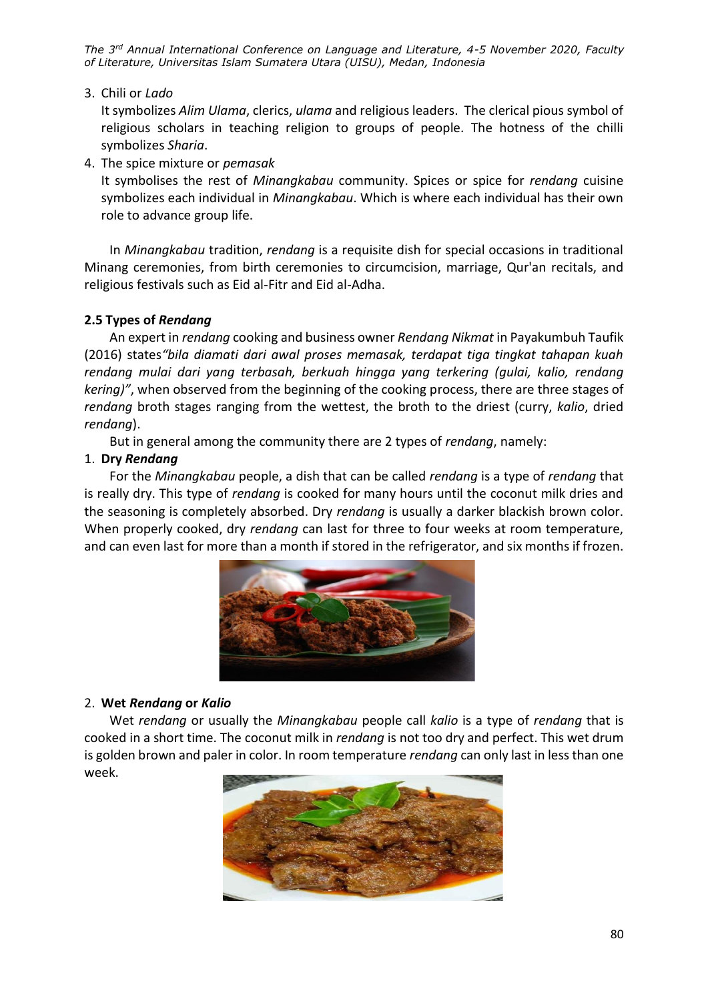3. Chili or *Lado*

It symbolizes *Alim Ulama*, clerics, *ulama* and religious leaders. The clerical pious symbol of religious scholars in teaching religion to groups of people. The hotness of the chilli symbolizes *Sharia*.

4. The spice mixture or *pemasak*

It symbolises the rest of *Minangkabau* community. Spices or spice for *rendang* cuisine symbolizes each individual in *Minangkabau*. Which is where each individual has their own role to advance group life.

In *Minangkabau* tradition, *rendang* is a requisite dish for special occasions in traditional Minang ceremonies, from birth ceremonies to circumcision, marriage, Qur'an recitals, and religious festivals such as Eid al-Fitr and Eid al-Adha.

# **2.5 Types of** *Rendang*

An expert in *rendang* cooking and business owner *Rendang Nikmat* in Payakumbuh Taufik (2016) states*"bila diamati dari awal proses memasak, terdapat tiga tingkat tahapan kuah rendang mulai dari yang terbasah, berkuah hingga yang terkering (gulai, kalio, rendang kering)"*, when observed from the beginning of the cooking process, there are three stages of *rendang* broth stages ranging from the wettest, the broth to the driest (curry, *kalio*, dried *rendang*).

But in general among the community there are 2 types of *rendang*, namely:

# 1. **Dry** *Rendang*

For the *Minangkabau* people, a dish that can be called *rendang* is a type of *rendang* that is really dry. This type of *rendang* is cooked for many hours until the coconut milk dries and the seasoning is completely absorbed. Dry *rendang* is usually a darker blackish brown color. When properly cooked, dry *rendang* can last for three to four weeks at room temperature, and can even last for more than a month if stored in the refrigerator, and six months if frozen.



# 2. **Wet** *Rendang* **or** *Kalio*

Wet *rendang* or usually the *Minangkabau* people call *kalio* is a type of *rendang* that is cooked in a short time. The coconut milk in *rendang* is not too dry and perfect. This wet drum is golden brown and paler in color. In room temperature *rendang* can only last in less than one week.

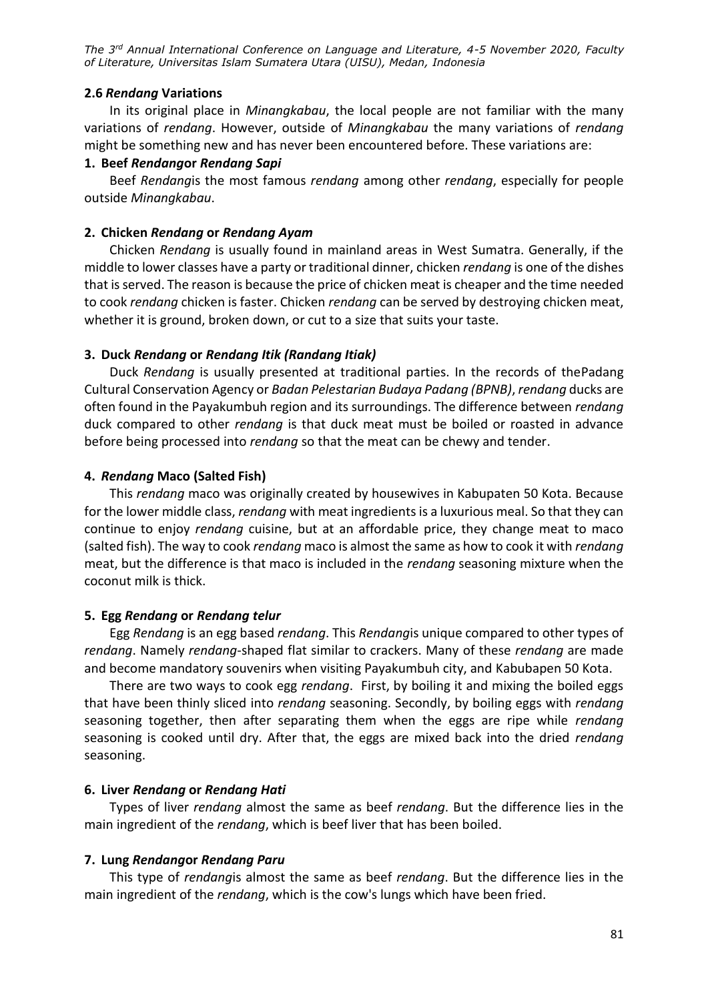### **2.6** *Rendang* **Variations**

In its original place in *Minangkabau*, the local people are not familiar with the many variations of *rendang*. However, outside of *Minangkabau* the many variations of *rendang* might be something new and has never been encountered before. These variations are:

### **1. Beef** *Rendang***or** *Rendang Sapi*

Beef *Rendang*is the most famous *rendang* among other *rendang*, especially for people outside *Minangkabau*.

### **2. Chicken** *Rendang* **or** *Rendang Ayam*

Chicken *Rendang* is usually found in mainland areas in West Sumatra. Generally, if the middle to lower classes have a party or traditional dinner, chicken *rendang* is one of the dishes that is served. The reason is because the price of chicken meat is cheaper and the time needed to cook *rendang* chicken is faster. Chicken *rendang* can be served by destroying chicken meat, whether it is ground, broken down, or cut to a size that suits your taste.

### **3. Duck** *Rendang* **or** *Rendang Itik (Randang Itiak)*

Duck *Rendang* is usually presented at traditional parties. In the records of thePadang Cultural Conservation Agency or *Badan Pelestarian Budaya Padang (BPNB)*, *rendang* ducks are often found in the Payakumbuh region and its surroundings. The difference between *rendang* duck compared to other *rendang* is that duck meat must be boiled or roasted in advance before being processed into *rendang* so that the meat can be chewy and tender.

### **4.** *Rendang* **Maco (Salted Fish)**

This *rendang* maco was originally created by housewives in Kabupaten 50 Kota. Because for the lower middle class, *rendang* with meat ingredients is a luxurious meal. So that they can continue to enjoy *rendang* cuisine, but at an affordable price, they change meat to maco (salted fish). The way to cook *rendang* maco is almost the same as how to cook it with *rendang* meat, but the difference is that maco is included in the *rendang* seasoning mixture when the coconut milk is thick.

#### **5. Egg** *Rendang* **or** *Rendang telur*

Egg *Rendang* is an egg based *rendang*. This *Rendang*is unique compared to other types of *rendang*. Namely *rendang*-shaped flat similar to crackers. Many of these *rendang* are made and become mandatory souvenirs when visiting Payakumbuh city, and Kabubapen 50 Kota.

There are two ways to cook egg *rendang*. First, by boiling it and mixing the boiled eggs that have been thinly sliced into *rendang* seasoning. Secondly, by boiling eggs with *rendang* seasoning together, then after separating them when the eggs are ripe while *rendang* seasoning is cooked until dry. After that, the eggs are mixed back into the dried *rendang* seasoning.

### **6. Liver** *Rendang* **or** *Rendang Hati*

Types of liver *rendang* almost the same as beef *rendang*. But the difference lies in the main ingredient of the *rendang*, which is beef liver that has been boiled.

#### **7. Lung** *Rendang***or** *Rendang Paru*

This type of *rendang*is almost the same as beef *rendang*. But the difference lies in the main ingredient of the *rendang*, which is the cow's lungs which have been fried.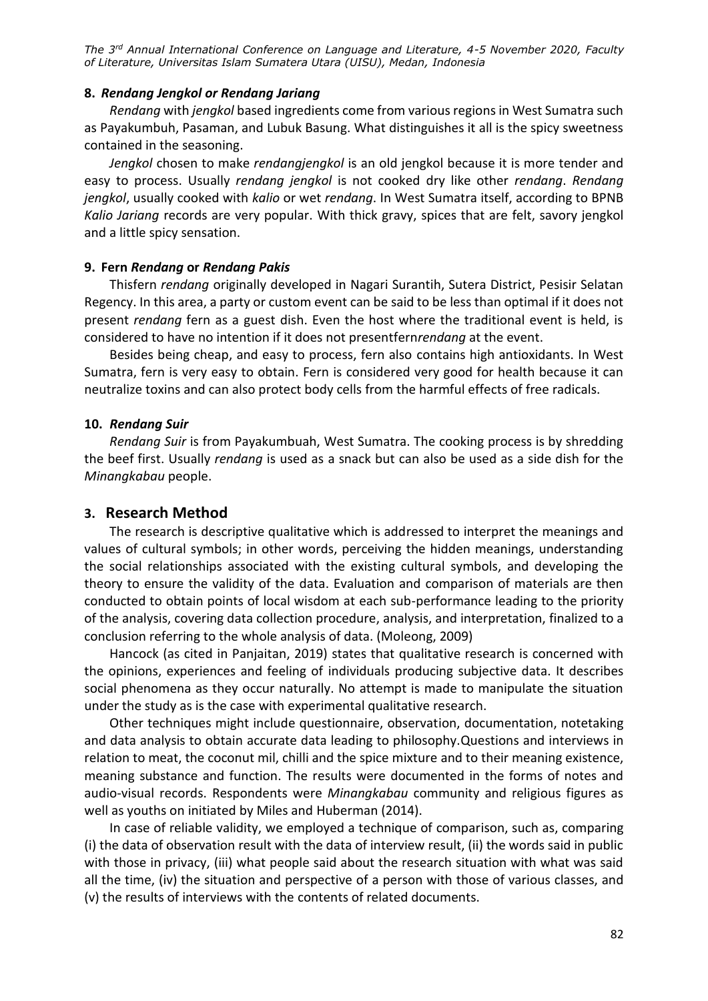### **8.** *Rendang Jengkol or Rendang Jariang*

*Rendang* with *jengkol* based ingredients come from various regions in West Sumatra such as Payakumbuh, Pasaman, and Lubuk Basung. What distinguishes it all is the spicy sweetness contained in the seasoning.

*Jengkol* chosen to make *rendangjengkol* is an old jengkol because it is more tender and easy to process. Usually *rendang jengkol* is not cooked dry like other *rendang*. *Rendang jengkol*, usually cooked with *kalio* or wet *rendang*. In West Sumatra itself, according to BPNB *Kalio Jariang* records are very popular. With thick gravy, spices that are felt, savory jengkol and a little spicy sensation.

### **9. Fern** *Rendang* **or** *Rendang Pakis*

Thisfern *rendang* originally developed in Nagari Surantih, Sutera District, Pesisir Selatan Regency. In this area, a party or custom event can be said to be less than optimal if it does not present *rendang* fern as a guest dish. Even the host where the traditional event is held, is considered to have no intention if it does not presentfern*rendang* at the event.

Besides being cheap, and easy to process, fern also contains high antioxidants. In West Sumatra, fern is very easy to obtain. Fern is considered very good for health because it can neutralize toxins and can also protect body cells from the harmful effects of free radicals.

### **10.** *Rendang Suir*

*Rendang Suir* is from Payakumbuah, West Sumatra. The cooking process is by shredding the beef first. Usually *rendang* is used as a snack but can also be used as a side dish for the *Minangkabau* people.

### **3. Research Method**

The research is descriptive qualitative which is addressed to interpret the meanings and values of cultural symbols; in other words, perceiving the hidden meanings, understanding the social relationships associated with the existing cultural symbols, and developing the theory to ensure the validity of the data. Evaluation and comparison of materials are then conducted to obtain points of local wisdom at each sub-performance leading to the priority of the analysis, covering data collection procedure, analysis, and interpretation, finalized to a conclusion referring to the whole analysis of data. (Moleong, 2009)

Hancock (as cited in Panjaitan, 2019) states that qualitative research is concerned with the opinions, experiences and feeling of individuals producing subjective data. It describes social phenomena as they occur naturally. No attempt is made to manipulate the situation under the study as is the case with experimental qualitative research.

Other techniques might include questionnaire, observation, documentation, notetaking and data analysis to obtain accurate data leading to philosophy.Questions and interviews in relation to meat, the coconut mil, chilli and the spice mixture and to their meaning existence, meaning substance and function. The results were documented in the forms of notes and audio-visual records. Respondents were *Minangkabau* community and religious figures as well as youths on initiated by Miles and Huberman (2014).

In case of reliable validity, we employed a technique of comparison, such as, comparing (i) the data of observation result with the data of interview result, (ii) the words said in public with those in privacy, (iii) what people said about the research situation with what was said all the time, (iv) the situation and perspective of a person with those of various classes, and (v) the results of interviews with the contents of related documents.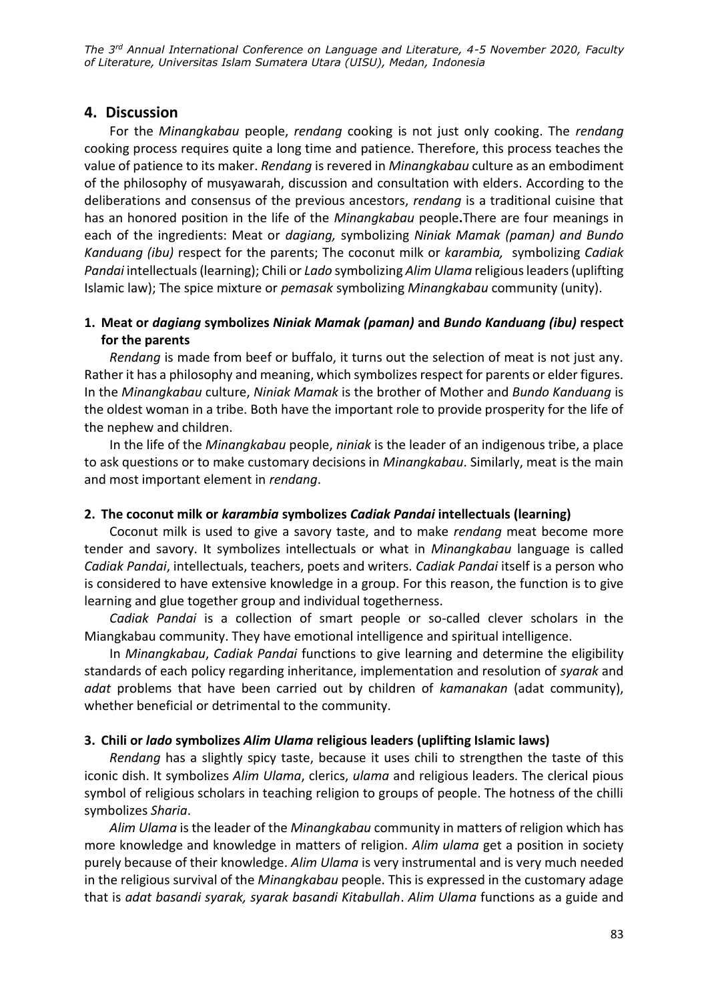# **4. Discussion**

For the *Minangkabau* people, *rendang* cooking is not just only cooking. The *rendang* cooking process requires quite a long time and patience. Therefore, this process teaches the value of patience to its maker. *Rendang* is revered in *Minangkabau* culture as an embodiment of the philosophy of musyawarah, discussion and consultation with elders. According to the deliberations and consensus of the previous ancestors, *rendang* is a traditional cuisine that has an honored position in the life of the *Minangkabau* people**.**There are four meanings in each of the ingredients: Meat or *dagiang,* symbolizing *Niniak Mamak (paman) and Bundo Kanduang (ibu)* respect for the parents; The coconut milk or *karambia,* symbolizing *Cadiak Pandai* intellectuals (learning); Chili or *Lado* symbolizing *Alim Ulama* religious leaders (uplifting Islamic law); The spice mixture or *pemasak* symbolizing *Minangkabau* community (unity).

# **1. Meat or** *dagiang* **symbolizes** *Niniak Mamak (paman)* **and** *Bundo Kanduang (ibu)* **respect for the parents**

*Rendang* is made from beef or buffalo, it turns out the selection of meat is not just any. Rather it has a philosophy and meaning, which symbolizes respect for parents or elder figures. In the *Minangkabau* culture, *Niniak Mamak* is the brother of Mother and *Bundo Kanduang* is the oldest woman in a tribe. Both have the important role to provide prosperity for the life of the nephew and children.

In the life of the *Minangkabau* people, *niniak* is the leader of an indigenous tribe, a place to ask questions or to make customary decisions in *Minangkabau*. Similarly, meat is the main and most important element in *rendang*.

### **2. The coconut milk or** *karambia* **symbolizes** *Cadiak Pandai* **intellectuals (learning)**

Coconut milk is used to give a savory taste, and to make *rendang* meat become more tender and savory. It symbolizes intellectuals or what in *Minangkabau* language is called *Cadiak Pandai*, intellectuals, teachers, poets and writers. *Cadiak Pandai* itself is a person who is considered to have extensive knowledge in a group. For this reason, the function is to give learning and glue together group and individual togetherness.

*Cadiak Pandai* is a collection of smart people or so-called clever scholars in the Miangkabau community. They have emotional intelligence and spiritual intelligence.

In *Minangkabau*, *Cadiak Pandai* functions to give learning and determine the eligibility standards of each policy regarding inheritance, implementation and resolution of *syarak* and *adat* problems that have been carried out by children of *kamanakan* (adat community), whether beneficial or detrimental to the community.

### **3. Chili or** *lado* **symbolizes** *Alim Ulama* **religious leaders (uplifting Islamic laws)**

*Rendang* has a slightly spicy taste, because it uses chili to strengthen the taste of this iconic dish. It symbolizes *Alim Ulama*, clerics, *ulama* and religious leaders. The clerical pious symbol of religious scholars in teaching religion to groups of people. The hotness of the chilli symbolizes *Sharia*.

*Alim Ulama* is the leader of the *Minangkabau* community in matters of religion which has more knowledge and knowledge in matters of religion. *Alim ulama* get a position in society purely because of their knowledge. *Alim Ulama* is very instrumental and is very much needed in the religious survival of the *Minangkabau* people. This is expressed in the customary adage that is *adat basandi syarak, syarak basandi Kitabullah*. *Alim Ulama* functions as a guide and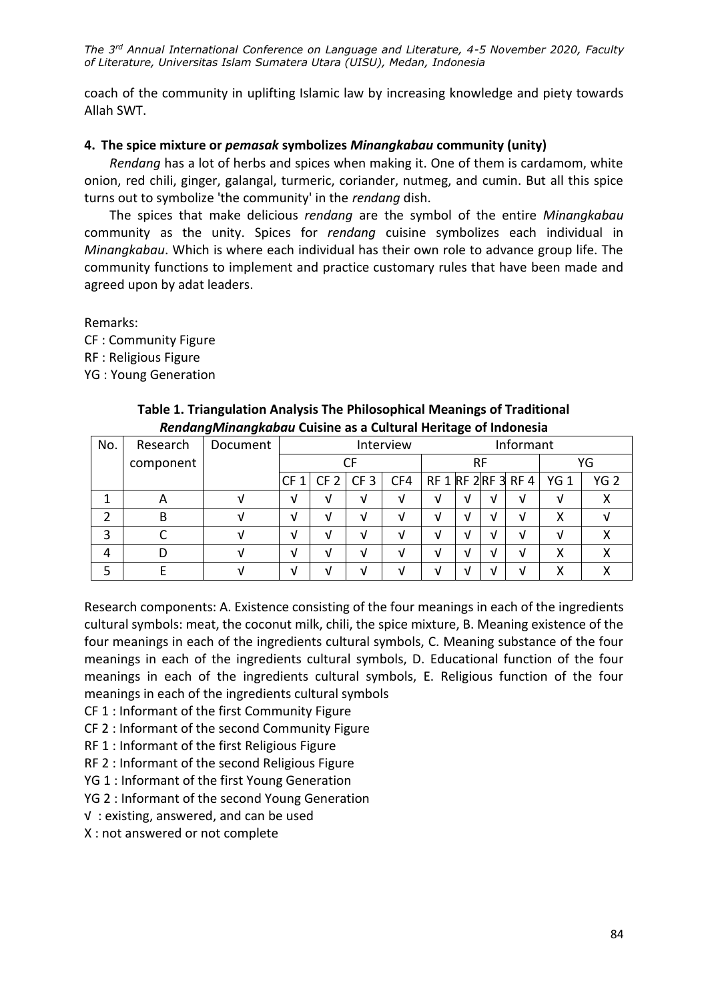coach of the community in uplifting Islamic law by increasing knowledge and piety towards Allah SWT.

### **4. The spice mixture or** *pemasak* **symbolizes** *Minangkabau* **community (unity)**

*Rendang* has a lot of herbs and spices when making it. One of them is cardamom, white onion, red chili, ginger, galangal, turmeric, coriander, nutmeg, and cumin. But all this spice turns out to symbolize 'the community' in the *rendang* dish.

The spices that make delicious *rendang* are the symbol of the entire *Minangkabau* community as the unity. Spices for *rendang* cuisine symbolizes each individual in *Minangkabau*. Which is where each individual has their own role to advance group life. The community functions to implement and practice customary rules that have been made and agreed upon by adat leaders.

Remarks:

CF : Community Figure RF : Religious Figure

YG : Young Generation

| No. | Research  | Document | Interview       |                 |                 |     |    | Informant |   |                     |                 |                 |
|-----|-----------|----------|-----------------|-----------------|-----------------|-----|----|-----------|---|---------------------|-----------------|-----------------|
|     | component |          | CF              |                 |                 |     | RF |           |   |                     | YG              |                 |
|     |           |          | CF <sub>1</sub> | CF <sub>2</sub> | CF <sub>3</sub> | CF4 |    |           |   | RF 1 RF 2 RF 3 RF 4 | YG <sub>1</sub> | YG <sub>2</sub> |
|     | А         |          | V               | V               | ν               | A.  | v  | V         | ν | V                   |                 |                 |
|     | В         | M        | V               | V               | ν               | A.  | v  | M         | M | V                   | х               |                 |
| 3   |           |          | V               | ν               |                 | ٦.  |    | V         | V | ν                   |                 |                 |
|     |           |          | V               | ν               |                 |     |    | ٦I        | V | V                   | Х               |                 |
|     |           |          | M               | M               |                 | ۰.  | 7  | M         | M | 71                  |                 |                 |

### **Table 1. Triangulation Analysis The Philosophical Meanings of Traditional**  *RendangMinangkabau* **Cuisine as a Cultural Heritage of Indonesia**

Research components: A. Existence consisting of the four meanings in each of the ingredients cultural symbols: meat, the coconut milk, chili, the spice mixture, B. Meaning existence of the four meanings in each of the ingredients cultural symbols, C. Meaning substance of the four meanings in each of the ingredients cultural symbols, D. Educational function of the four meanings in each of the ingredients cultural symbols, E. Religious function of the four meanings in each of the ingredients cultural symbols

CF 1 : Informant of the first Community Figure

- CF 2 : Informant of the second Community Figure
- RF 1 : Informant of the first Religious Figure
- RF 2 : Informant of the second Religious Figure
- YG 1 : Informant of the first Young Generation

YG 2 : Informant of the second Young Generation

√ : existing, answered, and can be used

X : not answered or not complete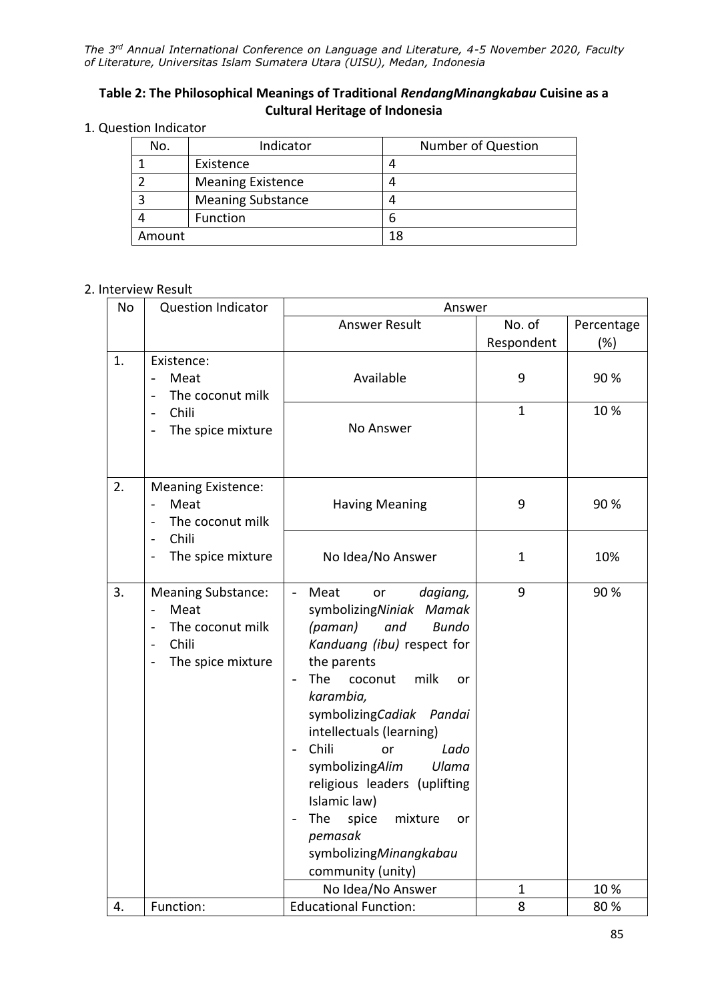## **Table 2: The Philosophical Meanings of Traditional** *RendangMinangkabau* **Cuisine as a Cultural Heritage of Indonesia**

### 1. Question Indicator

| No.    | Indicator                | <b>Number of Question</b> |
|--------|--------------------------|---------------------------|
|        | Existence                |                           |
|        | <b>Meaning Existence</b> |                           |
| 3      | <b>Meaning Substance</b> |                           |
|        | Function                 | 6                         |
| Amount |                          | 18                        |

### 2. Interview Result

| No | <b>Question Indicator</b>                                                                             | Answer                                                                                                                                                                                                                                                                                                                                                                                                                                                                           |                      |                      |  |  |  |
|----|-------------------------------------------------------------------------------------------------------|----------------------------------------------------------------------------------------------------------------------------------------------------------------------------------------------------------------------------------------------------------------------------------------------------------------------------------------------------------------------------------------------------------------------------------------------------------------------------------|----------------------|----------------------|--|--|--|
|    |                                                                                                       | Answer Result                                                                                                                                                                                                                                                                                                                                                                                                                                                                    | No. of<br>Respondent | Percentage<br>$(\%)$ |  |  |  |
| 1. | Existence:<br>Meat<br>The coconut milk                                                                | Available                                                                                                                                                                                                                                                                                                                                                                                                                                                                        | 9                    | 90%                  |  |  |  |
|    | Chili<br>The spice mixture                                                                            | No Answer                                                                                                                                                                                                                                                                                                                                                                                                                                                                        | $\mathbf{1}$         | 10%                  |  |  |  |
| 2. | <b>Meaning Existence:</b><br>Meat<br>The coconut milk                                                 | <b>Having Meaning</b>                                                                                                                                                                                                                                                                                                                                                                                                                                                            | 9                    | 90%                  |  |  |  |
|    | Chili<br>The spice mixture                                                                            | No Idea/No Answer                                                                                                                                                                                                                                                                                                                                                                                                                                                                | $\mathbf{1}$         | 10%                  |  |  |  |
| 3. | <b>Meaning Substance:</b><br>Meat<br>The coconut milk<br>Chili<br>$\overline{a}$<br>The spice mixture | Meat<br>dagiang,<br>or<br>$\frac{1}{2}$<br>symbolizingNiniak Mamak<br>(paman)<br>and<br><b>Bundo</b><br>Kanduang (ibu) respect for<br>the parents<br>milk<br>The<br>coconut<br>or<br>$\overline{\phantom{a}}$<br>karambia,<br>symbolizingCadiak Pandai<br>intellectuals (learning)<br>Chili<br>Lado<br>or<br>symbolizingAlim<br>Ulama<br>religious leaders (uplifting<br>Islamic law)<br>The<br>spice<br>mixture<br>or<br>pemasak<br>symbolizingMinangkabau<br>community (unity) | 9                    | 90%                  |  |  |  |
|    |                                                                                                       | No Idea/No Answer                                                                                                                                                                                                                                                                                                                                                                                                                                                                | $\mathbf 1$          | 10%                  |  |  |  |
| 4. | Function:                                                                                             | <b>Educational Function:</b>                                                                                                                                                                                                                                                                                                                                                                                                                                                     | 8                    | 80%                  |  |  |  |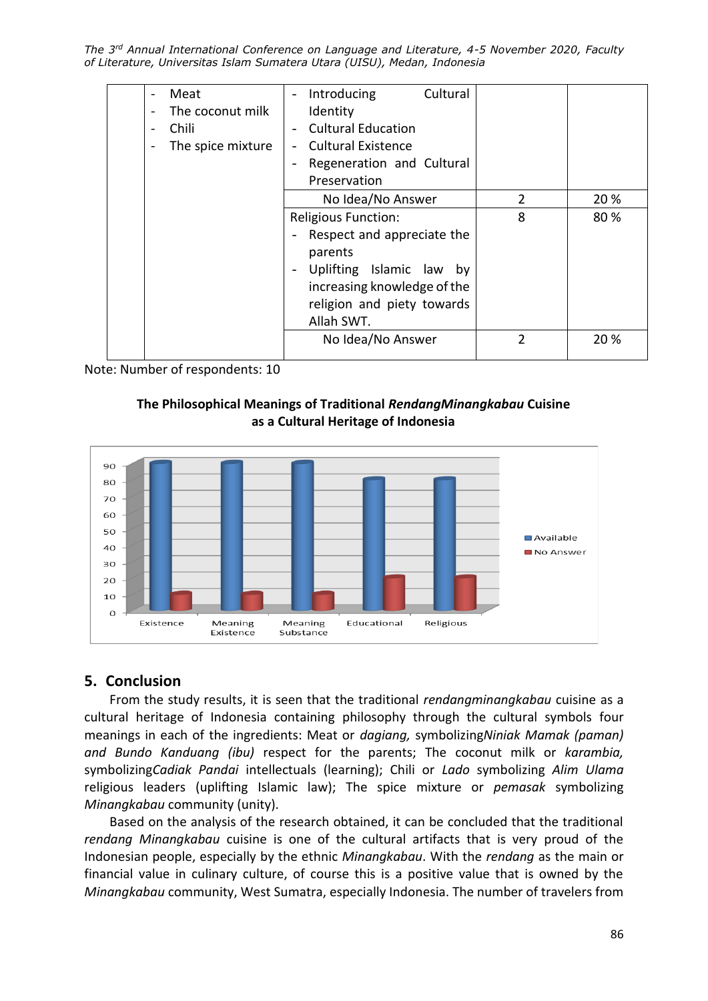|  | Meat              | $\overline{\phantom{a}}$ | Introducing                 | Cultural |                |            |
|--|-------------------|--------------------------|-----------------------------|----------|----------------|------------|
|  | The coconut milk  |                          | Identity                    |          |                |            |
|  | Chili             |                          | <b>Cultural Education</b>   |          |                |            |
|  | The spice mixture | $\overline{\phantom{a}}$ | <b>Cultural Existence</b>   |          |                |            |
|  |                   | $\overline{\phantom{a}}$ | Regeneration and Cultural   |          |                |            |
|  |                   |                          | Preservation                |          |                |            |
|  |                   |                          | No Idea/No Answer           |          | $\mathfrak{p}$ | 20 %       |
|  |                   |                          | <b>Religious Function:</b>  |          | 8              | 80 %       |
|  |                   |                          | Respect and appreciate the  |          |                |            |
|  |                   |                          | parents                     |          |                |            |
|  |                   |                          | Uplifting Islamic law by    |          |                |            |
|  |                   |                          | increasing knowledge of the |          |                |            |
|  |                   |                          | religion and piety towards  |          |                |            |
|  |                   |                          | Allah SWT.                  |          |                |            |
|  |                   |                          | No Idea/No Answer           |          | 2              | <b>20%</b> |
|  |                   |                          |                             |          |                |            |

Note: Number of respondents: 10





# **5. Conclusion**

From the study results, it is seen that the traditional *rendangminangkabau* cuisine as a cultural heritage of Indonesia containing philosophy through the cultural symbols four meanings in each of the ingredients: Meat or *dagiang,* symbolizing*Niniak Mamak (paman) and Bundo Kanduang (ibu)* respect for the parents; The coconut milk or *karambia,*  symbolizing*Cadiak Pandai* intellectuals (learning); Chili or *Lado* symbolizing *Alim Ulama* religious leaders (uplifting Islamic law); The spice mixture or *pemasak* symbolizing *Minangkabau* community (unity).

Based on the analysis of the research obtained, it can be concluded that the traditional *rendang Minangkabau* cuisine is one of the cultural artifacts that is very proud of the Indonesian people, especially by the ethnic *Minangkabau*. With the *rendang* as the main or financial value in culinary culture, of course this is a positive value that is owned by the *Minangkabau* community, West Sumatra, especially Indonesia. The number of travelers from